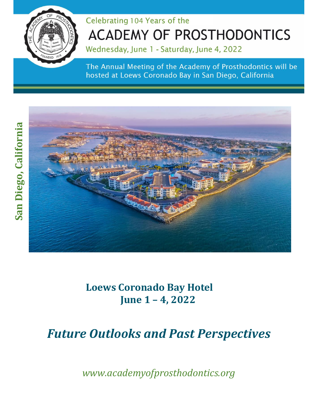

# Celebrating 104 Years of the **ACADEMY OF PROSTHODONTICS**

Wednesday, June 1 - Saturday, June 4, 2022

The Annual Meeting of the Academy of Prosthodontics will be hosted at Loews Coronado Bay in San Diego, California



**Loews Coronado Bay Hotel June 1 – 4, 2022**

*Future Outlooks and Past Perspectives*

*www.academyofprosthodontics.org*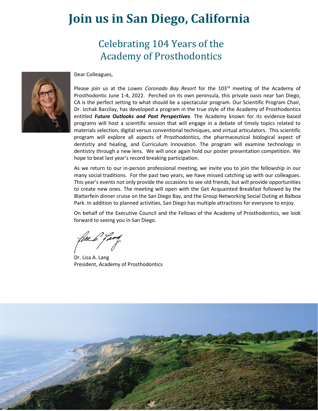# **Join us in San Diego, California**

## Celebrating 104 Years of the Academy of Prosthodontics



Dear Colleagues,

Please join us at the *Lowes Coronado Bay Resort* for the 103<sup>rd</sup> meeting of the Academy of Prosthodontic June 1-4, 2022. Perched on its own peninsula, this private oasis near San Diego, CA is the perfect setting to what should be a spectacular program. Our Scientific Program Chair, Dr. Izchak Barzilay, has developed a program in the true style of the Academy of Prosthodontics entitled *Future Outlooks and Past Perspectives*. The Academy known for its evidence-based programs will host a scientific session that will engage in a debate of timely topics related to materials selection, digital versus conventional techniques, and virtual articulators. This scientific program will explore all aspects of Prosthodontics, the pharmaceutical biological aspect of dentistry and healing, and Curriculum Innovation. The program will examine technology in dentistry through a new lens. We will once again hold our poster presentation competition. We hope to beat last year's record breaking participation.

As we return to our in-person professional meeting, we invite you to join the fellowship in our many social traditions. For the past two years, we have missed catching up with our colleagues. This year's events not only provide the occasions to see old friends, but will provide opportunities to create new ones. The meeting will open with the Get Acquainted Breakfast followed by the Blatterfein dinner cruise on the San Diego Bay, and the Group Networking Social Outing at Balboa Park. In addition to planned activities, San Diego has multiple attractions for everyone to enjoy.

On behalf of the Executive Council and the Fellows of the Academy of Prosthodontics, we look forward to seeing you in San Diego.

Dr. Lisa A. Lang President, Academy of Prosthodontics

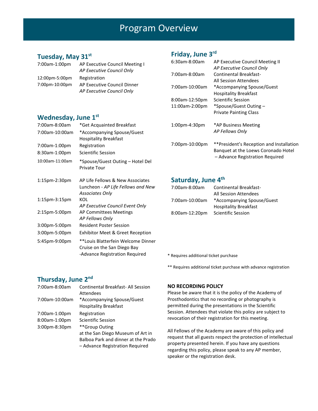## Program Overview

### **Tuesday, May 31st**

| 7:00am-1:00pm  | AP Executive Council Meeting I |  |
|----------------|--------------------------------|--|
|                | AP Executive Council Only      |  |
| 12:00pm-5:00pm | Registration                   |  |
| 7:00pm-10:00pm | AP Executive Council Dinner    |  |
|                | AP Executive Council Only      |  |

### **Wednesday, June 1 st**

| 7:00am-8:00am   | *Get Acquainted Breakfast                                                                           |
|-----------------|-----------------------------------------------------------------------------------------------------|
| 7:00am-10:00am  | *Accompanying Spouse/Guest<br><b>Hospitality Breakfast</b>                                          |
| 7:00am-1:00pm   | Registration                                                                                        |
| 8:30am-1:00pm   | <b>Scientific Session</b>                                                                           |
| 10:00am-11:00am | *Spouse/Guest Outing – Hotel Del<br>Tour                                                            |
| 1:15pm-2:30pm   | AP Life Fellows & New Associates<br>Luncheon - AP Life Fellows and New<br><b>Associates Only</b>    |
| 1:15pm-3:15pm   | KOL<br>AP Executive Council Event Only                                                              |
| 2:15pm-5:00pm   | AP Committees Meetings<br>AP Fellows Only                                                           |
| 3:00pm-5:00pm   | <b>Resident Poster Session</b>                                                                      |
| 3:00pm-5:00pm   | <b>Exhibitor Meet &amp; Greet Reception</b>                                                         |
| 5:45pm-9:00pm   | **Louis Blatterfein Welcome Dinner<br>Cruise on the San Diego Bay<br>-Advance Registration Required |

### **Friday, June 3 rd**

| 6:30am-8:00am    | AP Executive Council Meeting II<br>AP Executive Council Only                                                       |
|------------------|--------------------------------------------------------------------------------------------------------------------|
| 7:00am-8:00am    | Continental Breakfast-                                                                                             |
|                  | All Session Attendees                                                                                              |
| 7:00am-10:00am   | *Accompanying Spouse/Guest                                                                                         |
|                  | <b>Hospitality Breakfast</b>                                                                                       |
| 8:00am-12:50pm   | Scientific Session                                                                                                 |
| 11:00am-2:00pm   | *Spouse/Guest Outing –                                                                                             |
|                  | <b>Private Painting Class</b>                                                                                      |
| $1:00$ pm-4:30pm | *AP Business Meeting                                                                                               |
|                  | AP Fellows Only                                                                                                    |
| 7:00pm-10:00pm   | **President's Reception and Installation<br>Banquet at the Loews Coronado Hotel<br>- Advance Registration Required |

### **Saturday, June 4th**

| 7:00am-8:00am  | <b>Continental Breakfast-</b> |  |
|----------------|-------------------------------|--|
|                | <b>All Session Attendees</b>  |  |
| 7:00am-10:00am | *Accompanying Spouse/Guest    |  |
|                | <b>Hospitality Breakfast</b>  |  |
| 8:00am-12:20pm | <b>Scientific Session</b>     |  |

\* Requires additional ticket purchase

\*\* Requires additional ticket purchase with advance registration

### **Thursday, June 2<sup>nd</sup>**

| 7:00am-8:00am    | <b>Continental Breakfast-All Session</b><br>Attendees      |
|------------------|------------------------------------------------------------|
| 7:00am-10:00am   | *Accompanying Spouse/Guest<br><b>Hospitality Breakfast</b> |
| 7:00am-1:00pm    | Registration                                               |
| 8:00am-1:00pm    | <b>Scientific Session</b>                                  |
| $3:00$ pm-8:30pm | **Group Outing                                             |
|                  | at the San Diego Museum of Art in                          |
|                  | Balboa Park and dinner at the Prado                        |
|                  | - Advance Registration Required                            |

#### **NO RECORDING POLICY**

Please be aware that it is the policy of the Academy of Prosthodontics that no recording or photography is permitted during the presentations in the Scientific Session. Attendees that violate this policy are subject to revocation of their registration for this meeting.

All Fellows of the Academy are aware of this policy and request that all guests respect the protection of intellectual property presented herein. If you have any questions regarding this policy, please speak to any AP member, speaker or the registration desk.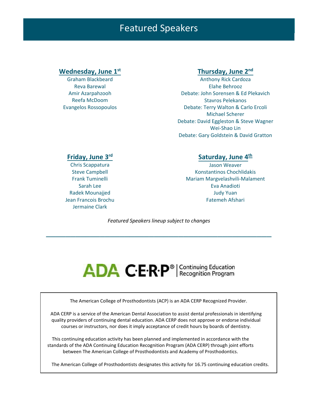## Featured Speakers

Graham Blackbeard Reva Barewal Amir Azarpahzooh Reefa McDoom Evangelos Rossopoulos

### **Wednesday, June 1st Thursday, June 2nd**

Anthony Rick Cardoza Elahe Behrooz Debate: John Sorensen & Ed Plekavich Stavros Pelekanos Debate: Terry Walton & Carlo Ercoli Michael Scherer Debate: David Eggleston & Steve Wagner Wei-Shao Lin Debate: Gary Goldstein & David Gratton

#### **Friday, June 3rd**

Chris Scappatura Steve Campbell Frank Tuminelli Sarah Lee Radek Mounajjed Jean Francois Brochu Jermaine Clark

#### **Saturday, June 4th**

Jason Weaver Konstantinos Chochlidakis Mariam Margvelashvili-Malament Eva Anadioti Judy Yuan Fatemeh Afshari

*Featured Speakers lineup subject to changes*

\_\_\_\_\_\_\_\_\_\_\_\_\_\_\_\_\_\_\_\_\_\_\_\_\_\_\_\_\_\_\_\_\_\_\_\_\_\_\_\_\_\_\_\_\_\_

# ADA C.E.R.P<sup>®</sup> | Continuing Education

The American College of Prosthodontists (ACP) is an ADA CERP Recognized Provider.

ADA CERP is a service of the American Dental Association to assist dental professionals in identifying quality providers of continuing dental education. ADA CERP does not approve or endorse individual courses or instructors, nor does it imply acceptance of credit hours by boards of dentistry.

This continuing education activity has been planned and implemented in accordance with the standards of the ADA Continuing Education Recognition Program (ADA CERP) through joint efforts between The American College of Prosthodontists and Academy of Prosthodontics.

The American College of Prosthodontists designates this activity for 16.5 continuing education credits.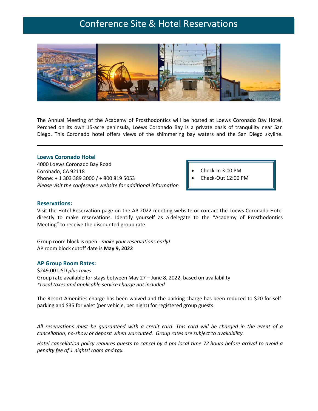## Conference Site & Hotel Reservations



The Annual Meeting of the Academy of Prosthodontics will be hosted at Loews Coronado Bay Hotel. Perched on its own 15-acre peninsula, Loews Coronado Bay is a private oasis of tranquility near San Diego. This Coronado hotel offers views of the shimmering bay waters and the San Diego skyline.

#### **Loews Coronado Hotel**

4000 Loews Coronado Bay Road Coronado, CA 92118 Phone: + 1 303 389 3000 / + 800 819 5053 *Please visit the conference website for additional information*

- Check-In 3:00 PM
- Check-Out 12:00 PM

#### **Reservations:**

Visit the Hotel Reservation page on the AP 2022 meeting website or contact the Loews Coronado Hotel directly to make reservations. Identify yourself as a delegate to the "Academy of Prosthodontics Meeting" to receive the discounted group rate.

Group room block is open - *make your reservations early!* AP room block cutoff date is **May 9, 2022**

#### **AP Group Room Rates:**

\$249.00 USD *plus taxes*. Group rate available for stays between May 27 – June 8, 2022, based on availability *\*Local taxes and applicable service charge not included*

The Resort Amenities charge has been waived and the parking charge has been reduced to \$20 for selfparking and \$35 for valet (per vehicle, per night) for registered group guests.

All reservations must be guaranteed with a credit card. This card will be charged in the event of a *cancellation, no-show or deposit when warranted. Group rates are subject to availability.*

Hotel cancellation policy requires quests to cancel by 4 pm local time 72 hours before arrival to avoid a *penalty fee of 1 nights' room and tax.*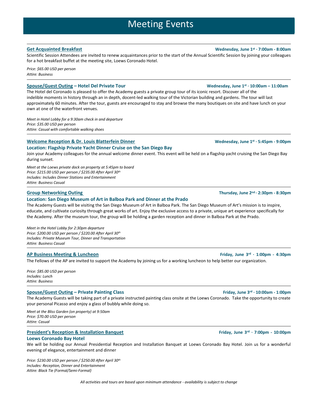### Meeting Events

Scientific Session Attendees are invited to renew acquaintances prior to the start of the Annual Scientific Session by joining your colleagues for a hot breakfast buffet at the meeting site, Loews Coronado Hotel.

*Price: \$65.00 USD per person Attire: Business*

The Hotel del Coronado is pleased to offer the Academy guests a group tour of its iconic resort. Discover all of the indelible moments in history through an in depth, docent-led walking tour of the Victorian building and gardens. The tour will last

approximately 60 minutes. After the tour, guests are encouraged to stay and browse the many boutiques on site and have lunch on your own at one of the waterfront venues.

*Meet in Hotel Lobby for a 8:45am check in and departure Price: \$335.00 USD per person Attire: Casual with comfortable walking shoes*

#### **Welcome Reception & Dr. Louis Blatterfein Dinner**

#### **Location: Flagship Private Yacht Dinner Cruise on the San Diego Bay**

Join your Academy colleagues for the annual welcome dinner event. This event will be held on a flagship yacht cruising the San Diego Bay during sunset.

*Meet at the Loews private dock on property at 5:45pm to board Price: \$215.00 USD per person / \$235.00 After April 30th Includes: Includes Dinner Stations and Entertainment Attire: Business Casual*

#### **Location: San Diego Museum of Art in Balboa Park and Dinner at the Prado**

The Academy Guests will be visiting the San Diego Museum of Art in Balboa Park. The San Diego Museum of Art's mission is to inspire, educate, and cultivate curiosity through great works of art. Enjoy the exclusive access to a private, unique art experience specifically for the Academy. After the museum tour, the group will be holding a garden reception and dinner in Balboa Park at the Prado.

*Meet in the Hotel Lobby for 2:30pm departure Price: \$200.00 USD per person / \$220.00 After April 30th Includes: Private Museum Tour, Dinner and Transportation Attire: Business Casual*

#### **AP Business Meeting & Luncheon Friday, June 3rd · 1:00pm - 4:30pm**

The Fellows of the AP are invited to support the Academy by joining us for a working luncheon to help better our organization.

*Price: \$85.00 USD per person Includes: Lunch Attire: Business*

#### **Spouse/Guest Outing – Private Painting Class Friday, June 3rd · 10:00am - 1:00pm**

The Academy Guests will be taking part of a private instructed painting class onsite at the Loews Coronado. Take the opportunity to create your personal Picasso and enjoy a glass of bubbly while doing so.

*Meet at the Bliss Garden (on property) at 9:50am Price: \$70.00 USD per person Attire: Casual*

### **President's Reception & Installation Banquet Friday, June 3**<sup>rd</sup> **· 7:00pm -** 10:00pm

#### **Loews Coronado Bay Hotel**

We will be holding our Annual Presidential Reception and Installation Banquet at Loews Coronado Bay Hotel. Join us for a wonderful evening of elegance, entertainment and dinner

*Price: \$230.00 USD per person / \$250.00 After April 30th Includes: Reception, Dinner and Entertainment Attire: Black Tie (Formal/Semi-Formal)*

**Group Networking Outing Thursday, June 2nd · 2:30pm - 8:30pm**

**Spouse/Guest Outing – Hotel Del Tour Wednesday, June 1st · 10:00am – 11:00am**

**st · 5:45pm - 9:00pm**

*All activities and tours are based upon minimum attendance - availability is subject to change*

#### **Get Acquainted Breakfast Wednesday, June 1st · 7:00am - 8:00am**